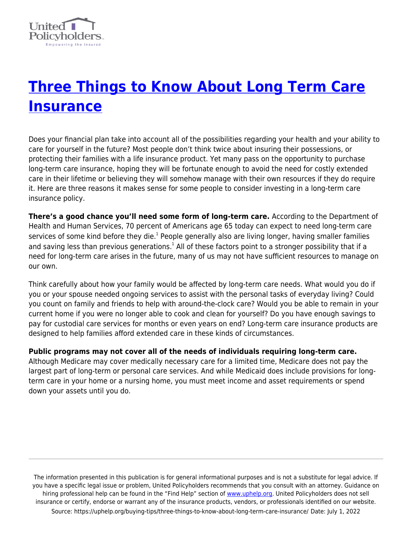

## **[Three Things to Know About Long Term Care](https://uphelp.org/buying-tips/three-things-to-know-about-long-term-care-insurance/) [Insurance](https://uphelp.org/buying-tips/three-things-to-know-about-long-term-care-insurance/)**

Does your financial plan take into account all of the possibilities regarding your health and your ability to care for yourself in the future? Most people don't think twice about insuring their possessions, or protecting their families with a life insurance product. Yet many pass on the opportunity to purchase long-term care insurance, hoping they will be fortunate enough to avoid the need for costly extended care in their lifetime or believing they will somehow manage with their own resources if they do require it. Here are three reasons it makes sense for some people to consider investing in a long-term care insurance policy.

**There's a good chance you'll need some form of long-term care.** According to the Department of Health and Human Services, 70 percent of Americans age 65 today can expect to need long-term care services of some kind before they die.<sup>1</sup> People generally also are living longer, having smaller families and saving less than previous generations.<sup>1</sup> All of these factors point to a stronger possibility that if a need for long-term care arises in the future, many of us may not have sufficient resources to manage on our own.

Think carefully about how your family would be affected by long-term care needs. What would you do if you or your spouse needed ongoing services to assist with the personal tasks of everyday living? Could you count on family and friends to help with around-the-clock care? Would you be able to remain in your current home if you were no longer able to cook and clean for yourself? Do you have enough savings to pay for custodial care services for months or even years on end? Long-term care insurance products are designed to help families afford extended care in these kinds of circumstances.

**Public programs may not cover all of the needs of individuals requiring long-term care.**

Although Medicare may cover medically necessary care for a limited time, Medicare does not pay the largest part of long-term or personal care services. And while Medicaid does include provisions for longterm care in your home or a nursing home, you must meet income and asset requirements or spend down your assets until you do.

The information presented in this publication is for general informational purposes and is not a substitute for legal advice. If you have a specific legal issue or problem, United Policyholders recommends that you consult with an attorney. Guidance on hiring professional help can be found in the "Find Help" section of [www.uphelp.org.](http://www.uphelp.org/) United Policyholders does not sell insurance or certify, endorse or warrant any of the insurance products, vendors, or professionals identified on our website. Source: https://uphelp.org/buying-tips/three-things-to-know-about-long-term-care-insurance/ Date: July 1, 2022